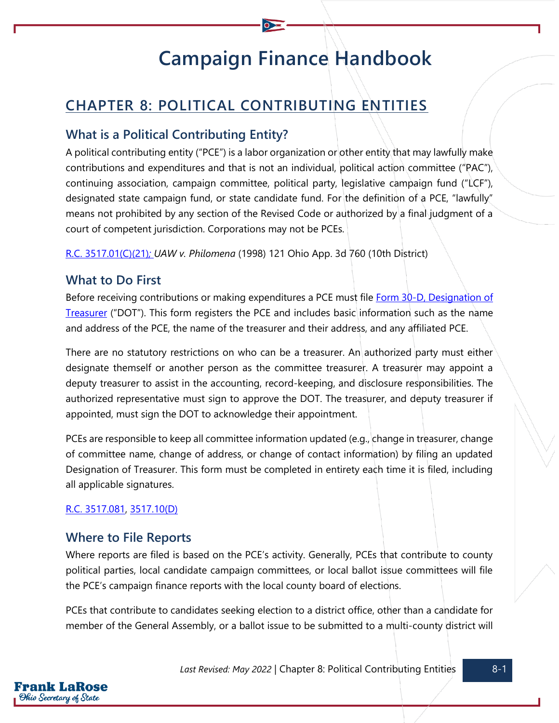# **Campaign Finance Handbook**

# **CHAPTER 8: POLITICAL CONTRIBUTING ENTITIES**

# **What is a Political Contributing Entity?**

A political contributing entity ("PCE") is a labor organization or other entity that may lawfully make contributions and expenditures and that is not an individual, political action committee ("PAC"), continuing association, campaign committee, political party, legislative campaign fund ("LCF"), designated state campaign fund, or state candidate fund. For the definition of a PCE, "lawfully" means not prohibited by any section of the Revised Code or authorized by a final judgment of a court of competent jurisdiction. Corporations may not be PCEs.

[R.C. 3517.01\(C\)\(21\)](https://codes.ohio.gov/ohio-revised-code/section-3517.01)*; UAW v. Philomena* (1998) 121 Ohio App. 3d 760 (10th District)

# **What to Do First**

Before receiving contributions or making expenditures a PCE must file [Form 30-D, Designation of](https://www.ohiosos.gov/globalassets/candidates/forms/30d.pdf)  [Treasurer](https://www.ohiosos.gov/globalassets/candidates/forms/30d.pdf) ("DOT"). This form registers the PCE and includes basic information such as the name and address of the PCE, the name of the treasurer and their address, and any affiliated PCE.

There are no statutory restrictions on who can be a treasurer. An authorized party must either designate themself or another person as the committee treasurer. A treasurer may appoint a deputy treasurer to assist in the accounting, record-keeping, and disclosure responsibilities. The authorized representative must sign to approve the DOT. The treasurer, and deputy treasurer if appointed, must sign the DOT to acknowledge their appointment.

PCEs are responsible to keep all committee information updated (e.g., change in treasurer, change of committee name, change of address, or change of contact information) by filing an updated Designation of Treasurer. This form must be completed in entirety each time it is filed, including all applicable signatures.

### [R.C. 3517.081,](https://codes.ohio.gov/ohio-revised-code/section-3517.081) [3517.10\(D\)](https://codes.ohio.gov/ohio-revised-code/section-3517.10)

# **Where to File Reports**

Where reports are filed is based on the PCE's activity. Generally, PCEs that contribute to county political parties, local candidate campaign committees, or local ballot issue committees will file the PCE's campaign finance reports with the local county board of elections.

PCEs that contribute to candidates seeking election to a district office, other than a candidate for member of the General Assembly, or a ballot issue to be submitted to a multi-county district will

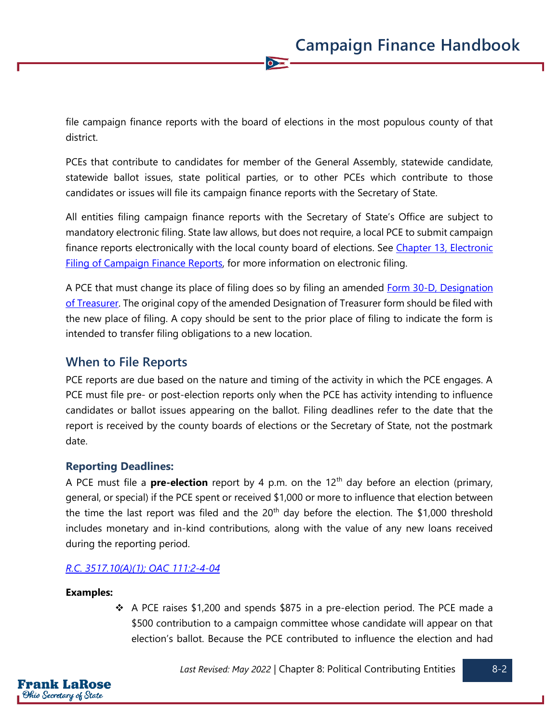file campaign finance reports with the board of elections in the most populous county of that district.

 $\overline{\bullet}$ 

PCEs that contribute to candidates for member of the General Assembly, statewide candidate, statewide ballot issues, state political parties, or to other PCEs which contribute to those candidates or issues will file its campaign finance reports with the Secretary of State.

All entities filing campaign finance reports with the Secretary of State's Office are subject to mandatory electronic filing. State law allows, but does not require, a local PCE to submit campaign finance reports electronically with the local county board of elections. See Chapter 13, Electronic [Filing of Campaign Finance Reports,](https://www.ohiosos.gov/globalassets/candidates/cfguide/chapters/chapter13.pdf) for more information on electronic filing.

A PCE that must change its place of filing does so by filing an amended Form 30-D, Designation [of Treasurer.](https://www.ohiosos.gov/globalassets/candidates/forms/30d.pdf) The original copy of the amended Designation of Treasurer form should be filed with the new place of filing. A copy should be sent to the prior place of filing to indicate the form is intended to transfer filing obligations to a new location.

### **When to File Reports**

PCE reports are due based on the nature and timing of the activity in which the PCE engages. A PCE must file pre- or post-election reports only when the PCE has activity intending to influence candidates or ballot issues appearing on the ballot. Filing deadlines refer to the date that the report is received by the county boards of elections or the Secretary of State, not the postmark date.

#### **Reporting Deadlines:**

A PCE must file a **pre-election** report by 4 p.m. on the  $12<sup>th</sup>$  day before an election (primary, general, or special) if the PCE spent or received \$1,000 or more to influence that election between the time the last report was filed and the  $20<sup>th</sup>$  day before the election. The \$1,000 threshold includes monetary and in-kind contributions, along with the value of any new loans received during the reporting period.

#### *[R.C. 3517.10\(A\)\(1\);](https://codes.ohio.gov/ohio-revised-code/section-3517.10) [OAC 111:2-4-04](https://codes.ohio.gov/ohio-administrative-code/rule-111:2-4-04)*

#### **Examples:**

❖ A PCE raises \$1,200 and spends \$875 in a pre-election period. The PCE made a \$500 contribution to a campaign committee whose candidate will appear on that election's ballot. Because the PCE contributed to influence the election and had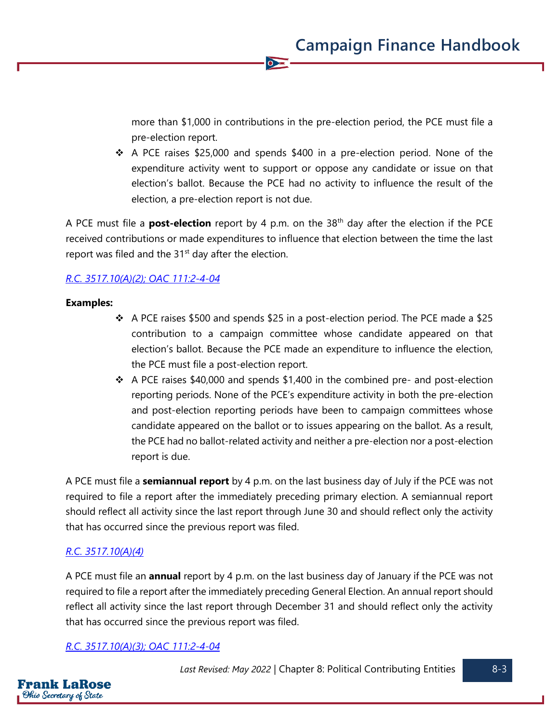more than \$1,000 in contributions in the pre-election period, the PCE must file a pre-election report.

❖ A PCE raises \$25,000 and spends \$400 in a pre-election period. None of the expenditure activity went to support or oppose any candidate or issue on that election's ballot. Because the PCE had no activity to influence the result of the election, a pre-election report is not due.

A PCE must file a **post-election** report by 4 p.m. on the 38th day after the election if the PCE received contributions or made expenditures to influence that election between the time the last report was filed and the  $31<sup>st</sup>$  day after the election.

 $\overline{\bullet}$ 

#### *[R.C. 3517.10\(A\)\(2\);](https://codes.ohio.gov/ohio-revised-code/section-3517.10) [OAC 111:2-4-04](https://codes.ohio.gov/ohio-administrative-code/rule-111:2-4-04)*

#### **Examples:**

- ❖ A PCE raises \$500 and spends \$25 in a post-election period. The PCE made a \$25 contribution to a campaign committee whose candidate appeared on that election's ballot. Because the PCE made an expenditure to influence the election, the PCE must file a post-election report.
- $\div$  A PCE raises \$40,000 and spends \$1,400 in the combined pre- and post-election reporting periods. None of the PCE's expenditure activity in both the pre-election and post-election reporting periods have been to campaign committees whose candidate appeared on the ballot or to issues appearing on the ballot. As a result, the PCE had no ballot-related activity and neither a pre-election nor a post-election report is due.

A PCE must file a **semiannual report** by 4 p.m. on the last business day of July if the PCE was not required to file a report after the immediately preceding primary election. A semiannual report should reflect all activity since the last report through June 30 and should reflect only the activity that has occurred since the previous report was filed.

#### *[R.C. 3517.10\(A\)\(4\)](https://codes.ohio.gov/ohio-revised-code/section-3517.10)*

A PCE must file an **annual** report by 4 p.m. on the last business day of January if the PCE was not required to file a report after the immediately preceding General Election. An annual report should reflect all activity since the last report through December 31 and should reflect only the activity that has occurred since the previous report was filed.

#### *[R.C. 3517.10\(A\)\(3\);](https://codes.ohio.gov/ohio-revised-code/section-3517.10) [OAC 111:2-4-04](https://codes.ohio.gov/ohio-administrative-code/rule-111:2-4-04)*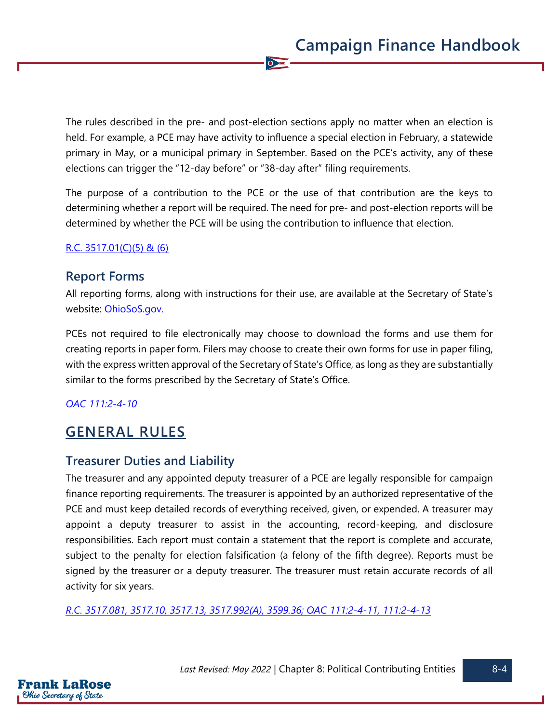The rules described in the pre- and post-election sections apply no matter when an election is held. For example, a PCE may have activity to influence a special election in February, a statewide primary in May, or a municipal primary in September. Based on the PCE's activity, any of these elections can trigger the "12-day before" or "38-day after" filing requirements.

 $\bullet$ 

The purpose of a contribution to the PCE or the use of that contribution are the keys to determining whether a report will be required. The need for pre- and post-election reports will be determined by whether the PCE will be using the contribution to influence that election.

#### [R.C. 3517.01\(C\)\(5\) & \(6\)](https://codes.ohio.gov/ohio-revised-code/section-3517.01)

### **Report Forms**

All reporting forms, along with instructions for their use, are available at the Secretary of State's website: [OhioSoS.gov.](https://www.ohiosos.gov/campaign-finance/filing-forms/)

PCEs not required to file electronically may choose to download the forms and use them for creating reports in paper form. Filers may choose to create their own forms for use in paper filing, with the express written approval of the Secretary of State's Office, as long as they are substantially similar to the forms prescribed by the Secretary of State's Office.

*[OAC 111:2-4-10](https://codes.ohio.gov/ohio-administrative-code/rule-111:2-4-10)*

# **GENERAL RULES**

# **Treasurer Duties and Liability**

The treasurer and any appointed deputy treasurer of a PCE are legally responsible for campaign finance reporting requirements. The treasurer is appointed by an authorized representative of the PCE and must keep detailed records of everything received, given, or expended. A treasurer may appoint a deputy treasurer to assist in the accounting, record-keeping, and disclosure responsibilities. Each report must contain a statement that the report is complete and accurate, subject to the penalty for election falsification (a felony of the fifth degree). Reports must be signed by the treasurer or a deputy treasurer. The treasurer must retain accurate records of all activity for six years.

*[R.C. 3517.081,](https://codes.ohio.gov/ohio-revised-code/section-3517.081) [3517.10,](https://codes.ohio.gov/ohio-revised-code/section-3517.10) [3517.13,](https://codes.ohio.gov/ohio-revised-code/section-3517.13) [3517.992\(A\),](https://codes.ohio.gov/ohio-revised-code/section-3517.992) [3599.36;](https://codes.ohio.gov/ohio-revised-code/section-3599.36) [OAC 111:2-4-11,](https://codes.ohio.gov/ohio-administrative-code/rule-111:2-4-11) [111:2-4-13](https://codes.ohio.gov/ohio-administrative-code/rule-111:2-4-13)*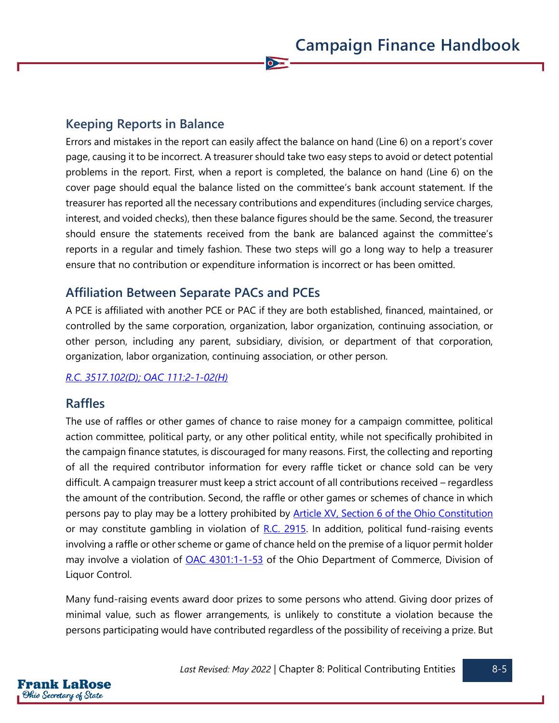# **Keeping Reports in Balance**

Errors and mistakes in the report can easily affect the balance on hand (Line 6) on a report's cover page, causing it to be incorrect. A treasurer should take two easy steps to avoid or detect potential problems in the report. First, when a report is completed, the balance on hand (Line 6) on the cover page should equal the balance listed on the committee's bank account statement. If the treasurer has reported all the necessary contributions and expenditures (including service charges, interest, and voided checks), then these balance figures should be the same. Second, the treasurer should ensure the statements received from the bank are balanced against the committee's reports in a regular and timely fashion. These two steps will go a long way to help a treasurer ensure that no contribution or expenditure information is incorrect or has been omitted.

 $\sum$ 

# **Affiliation Between Separate PACs and PCEs**

A PCE is affiliated with another PCE or PAC if they are both established, financed, maintained, or controlled by the same corporation, organization, labor organization, continuing association, or other person, including any parent, subsidiary, division, or department of that corporation, organization, labor organization, continuing association, or other person.

*[R.C. 3517.102\(D\);](https://codes.ohio.gov/ohio-revised-code/section-3517.102) [OAC 111:2-1-02\(H\)](https://codes.ohio.gov/ohio-administrative-code/rule-111:2-1-02)*

# **Raffles**

The use of raffles or other games of chance to raise money for a campaign committee, political action committee, political party, or any other political entity, while not specifically prohibited in the campaign finance statutes, is discouraged for many reasons. First, the collecting and reporting of all the required contributor information for every raffle ticket or chance sold can be very difficult. A campaign treasurer must keep a strict account of all contributions received – regardless the amount of the contribution. Second, the raffle or other games or schemes of chance in which persons pay to play may be a lottery prohibited by **Article XV**, Section 6 of the Ohio Constitution or may constitute gambling in violation of [R.C. 2915.](https://codes.ohio.gov/ohio-revised-code/chapter-2915) In addition, political fund-raising events involving a raffle or other scheme or game of chance held on the premise of a liquor permit holder may involve a violation of [OAC 4301:1-1-53](https://codes.ohio.gov/ohio-administrative-code/rule-4301:1-1-53) of the Ohio Department of Commerce, Division of Liquor Control.

Many fund-raising events award door prizes to some persons who attend. Giving door prizes of minimal value, such as flower arrangements, is unlikely to constitute a violation because the persons participating would have contributed regardless of the possibility of receiving a prize. But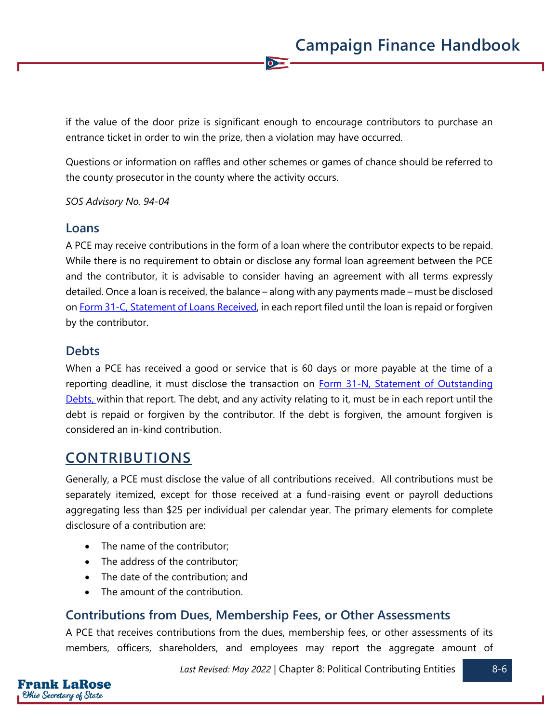if the value of the door prize is significant enough to encourage contributors to purchase an entrance ticket in order to win the prize, then a violation may have occurred.

 $\bullet$ 

Questions or information on raffles and other schemes or games of chance should be referred to the county prosecutor in the county where the activity occurs.

*SOS Advisory No. 94-04*

#### **Loans**

A PCE may receive contributions in the form of a loan where the contributor expects to be repaid. While there is no requirement to obtain or disclose any formal loan agreement between the PCE and the contributor, it is advisable to consider having an agreement with all terms expressly detailed. Once a loan is received, the balance – along with any payments made – must be disclosed on [Form 31-C, Statement of Loans Received,](https://www.ohiosos.gov/globalassets/candidates/forms/31c.pdf) in each report filed until the loan is repaid or forgiven by the contributor.

# **Debts**

Frank LaRose Ohio Secretary of State

When a PCE has received a good or service that is 60 days or more payable at the time of a reporting deadline, it must disclose the transaction on Form 31-N, Statement of Outstanding [Debts,](https://www.ohiosos.gov/globalassets/candidates/forms/31n.pdf) within that report. The debt, and any activity relating to it, must be in each report until the debt is repaid or forgiven by the contributor. If the debt is forgiven, the amount forgiven is considered an in-kind contribution.

# **CONTRIBUTIONS**

Generally, a PCE must disclose the value of all contributions received. All contributions must be separately itemized, except for those received at a fund-raising event or payroll deductions aggregating less than \$25 per individual per calendar year. The primary elements for complete disclosure of a contribution are:

- The name of the contributor:
- The address of the contributor;
- The date of the contribution; and
- The amount of the contribution.

# **Contributions from Dues, Membership Fees, or Other Assessments**

A PCE that receives contributions from the dues, membership fees, or other assessments of its members, officers, shareholders, and employees may report the aggregate amount of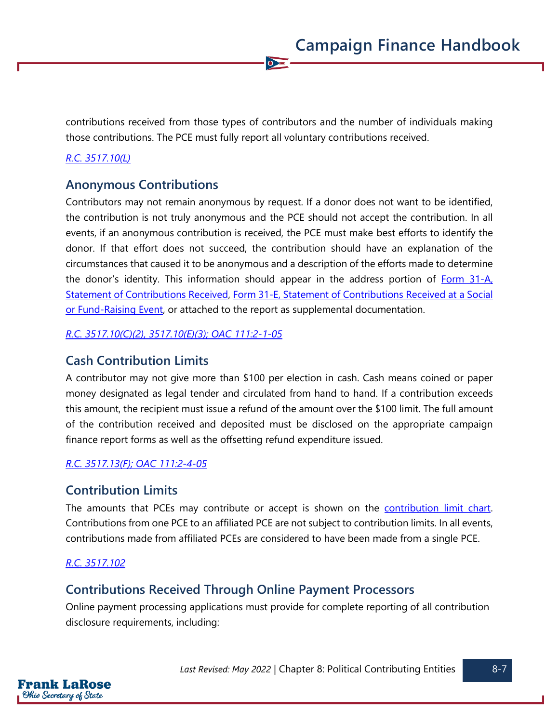contributions received from those types of contributors and the number of individuals making those contributions. The PCE must fully report all voluntary contributions received.

 $\bullet$ 

#### *[R.C. 3517.10\(L\)](https://codes.ohio.gov/ohio-revised-code/section-3517.10)*

### **Anonymous Contributions**

Contributors may not remain anonymous by request. If a donor does not want to be identified, the contribution is not truly anonymous and the PCE should not accept the contribution. In all events, if an anonymous contribution is received, the PCE must make best efforts to identify the donor. If that effort does not succeed, the contribution should have an explanation of the circumstances that caused it to be anonymous and a description of the efforts made to determine the donor's identity. This information should appear in the address portion of  $F_{\text{O}}$  31-A, [Statement of Contributions Received,](https://www.ohiosos.gov/globalassets/candidates/forms/31a.pdf) [Form 31-E, Statement of Contributions Received at a Social](https://www.ohiosos.gov/globalassets/candidates/forms/31e.pdf)  [or Fund-Raising Event,](https://www.ohiosos.gov/globalassets/candidates/forms/31e.pdf) or attached to the report as supplemental documentation.

*[R.C. 3517.10\(C\)\(2\), 3517.10\(E\)\(3\);](https://codes.ohio.gov/ohio-revised-code/section-3517.10) [OAC 111:2-1-05](https://codes.ohio.gov/ohio-administrative-code/rule-111:2-1-05)*

## **Cash Contribution Limits**

A contributor may not give more than \$100 per election in cash. Cash means coined or paper money designated as legal tender and circulated from hand to hand. If a contribution exceeds this amount, the recipient must issue a refund of the amount over the \$100 limit. The full amount of the contribution received and deposited must be disclosed on the appropriate campaign finance report forms as well as the offsetting refund expenditure issued.

#### *[R.C. 3517.13\(F\);](https://codes.ohio.gov/ohio-revised-code/section-3517.13) [OAC 111:2-4-05](https://codes.ohio.gov/ohio-administrative-code/rule-111:2-4-05)*

### **Contribution Limits**

The amounts that PCEs may contribute or accept is shown on the [contribution limit chart.](https://www.ohiosos.gov/globalassets/candidates/limitchart2021.pdf) Contributions from one PCE to an affiliated PCE are not subject to contribution limits. In all events, contributions made from affiliated PCEs are considered to have been made from a single PCE.

#### *[R.C. 3517.102](https://codes.ohio.gov/ohio-revised-code/section-3517.102)*

Frank LaRose **Ohio Secretary of State** 

# **Contributions Received Through Online Payment Processors**

Online payment processing applications must provide for complete reporting of all contribution disclosure requirements, including: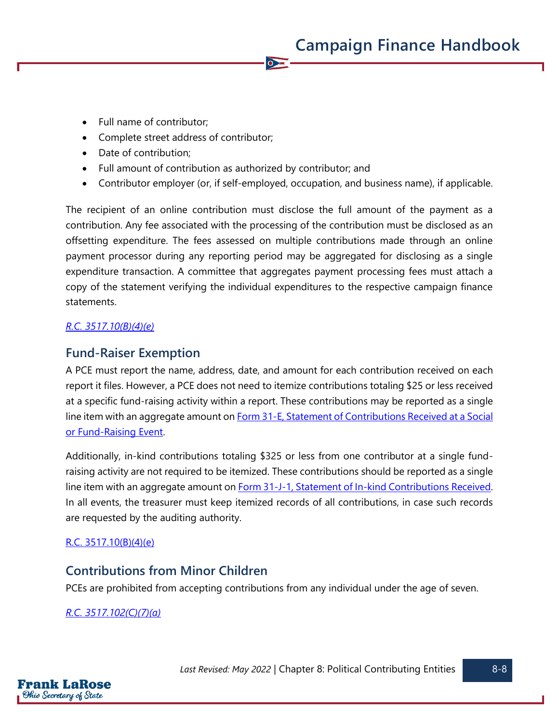- Full name of contributor;
- Complete street address of contributor;
- Date of contribution;
- Full amount of contribution as authorized by contributor; and
- Contributor employer (or, if self-employed, occupation, and business name), if applicable.

 $\bullet$ 

The recipient of an online contribution must disclose the full amount of the payment as a contribution. Any fee associated with the processing of the contribution must be disclosed as an offsetting expenditure. The fees assessed on multiple contributions made through an online payment processor during any reporting period may be aggregated for disclosing as a single expenditure transaction. A committee that aggregates payment processing fees must attach a copy of the statement verifying the individual expenditures to the respective campaign finance statements.

## *[R.C. 3517.10\(B\)\(4\)\(e\)](https://codes.ohio.gov/ohio-revised-code/section-3517.10)*

# **Fund-Raiser Exemption**

A PCE must report the name, address, date, and amount for each contribution received on each report it files. However, a PCE does not need to itemize contributions totaling \$25 or less received at a specific fund-raising activity within a report. These contributions may be reported as a single line item with an aggregate amount on **Form 31-E, Statement of Contributions Received** at a Social [or Fund-Raising Event.](https://www.ohiosos.gov/globalassets/candidates/forms/31e.pdf)

Additionally, in-kind contributions totaling \$325 or less from one contributor at a single fundraising activity are not required to be itemized. These contributions should be reported as a single line item with an aggregate amount on [Form 31-J-1, Statement of In-kind Contributions Received.](https://www.ohiosos.gov/globalassets/candidates/forms/31j1.pdf) In all events, the treasurer must keep itemized records of all contributions, in case such records are requested by the auditing authority.

### [R.C. 3517.10\(B\)\(4\)\(e\)](https://codes.ohio.gov/ohio-revised-code/section-3517.10)

# **Contributions from Minor Children**

PCEs are prohibited from accepting contributions from any individual under the age of seven.

### *[R.C. 3517.102\(C\)\(7\)\(a\)](https://codes.ohio.gov/ohio-revised-code/section-3517.102)*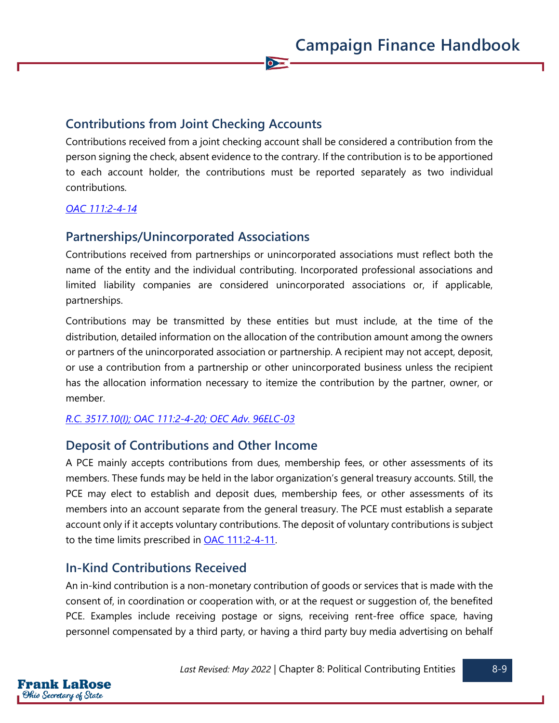# **Contributions from Joint Checking Accounts**

Contributions received from a joint checking account shall be considered a contribution from the person signing the check, absent evidence to the contrary. If the contribution is to be apportioned to each account holder, the contributions must be reported separately as two individual contributions.

 $\bullet$ 

#### *[OAC 111:2-4-14](https://codes.ohio.gov/ohio-administrative-code/rule-111:2-4-14)*

# **Partnerships/Unincorporated Associations**

Contributions received from partnerships or unincorporated associations must reflect both the name of the entity and the individual contributing. Incorporated professional associations and limited liability companies are considered unincorporated associations or, if applicable, partnerships.

Contributions may be transmitted by these entities but must include, at the time of the distribution, detailed information on the allocation of the contribution amount among the owners or partners of the unincorporated association or partnership. A recipient may not accept, deposit, or use a contribution from a partnership or other unincorporated business unless the recipient has the allocation information necessary to itemize the contribution by the partner, owner, or member.

#### *[R.C. 3517.10\(I\);](https://codes.ohio.gov/ohio-revised-code/section-3517.10) [OAC 111:2-4-20;](https://codes.ohio.gov/ohio-administrative-code/rule-111:2-4-20) [OEC Adv. 96ELC-03](https://elc.ohio.gov/wps/portal/gov/elc/opinions-decisions/advisory-opinions/by-year/96-03)*

### **Deposit of Contributions and Other Income**

A PCE mainly accepts contributions from dues, membership fees, or other assessments of its members. These funds may be held in the labor organization's general treasury accounts. Still, the PCE may elect to establish and deposit dues, membership fees, or other assessments of its members into an account separate from the general treasury. The PCE must establish a separate account only if it accepts voluntary contributions. The deposit of voluntary contributions is subject to the time limits prescribed in [OAC 111:2-4-11.](https://codes.ohio.gov/ohio-administrative-code/rule-111:2-4-11)

# **In-Kind Contributions Received**

An in-kind contribution is a non-monetary contribution of goods or services that is made with the consent of, in coordination or cooperation with, or at the request or suggestion of, the benefited PCE. Examples include receiving postage or signs, receiving rent-free office space, having personnel compensated by a third party, or having a third party buy media advertising on behalf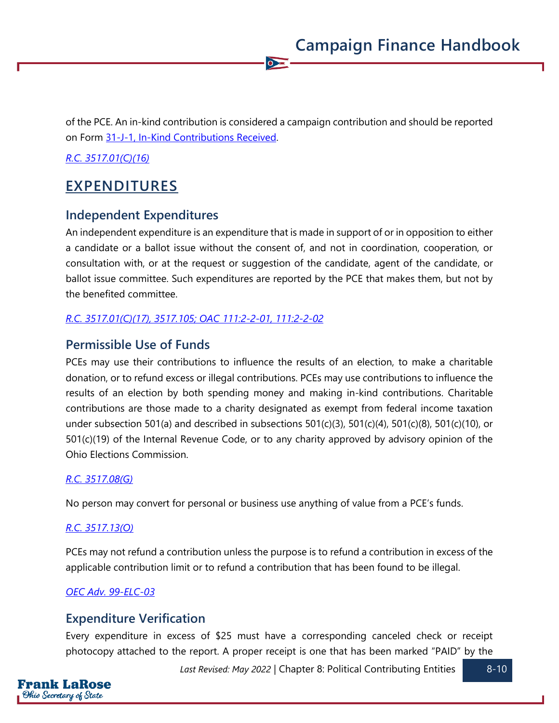of the PCE. An in-kind contribution is considered a campaign contribution and should be reported on Form [31-J-1, In-Kind Contributions Received.](https://www.ohiosos.gov/globalassets/candidates/forms/31j1.pdf)

 $\bullet$ 

*[R.C. 3517.01\(C\)\(16\)](https://codes.ohio.gov/ohio-revised-code/section-3517.01)*

# **EXPENDITURES**

# **Independent Expenditures**

An independent expenditure is an expenditure that is made in support of or in opposition to either a candidate or a ballot issue without the consent of, and not in coordination, cooperation, or consultation with, or at the request or suggestion of the candidate, agent of the candidate, or ballot issue committee. Such expenditures are reported by the PCE that makes them, but not by the benefited committee.

#### *[R.C. 3517.01\(C\)\(17\),](https://codes.ohio.gov/ohio-revised-code/section-3517.01) [3517.105;](https://codes.ohio.gov/ohio-revised-code/section-3517.105) [OAC 111:2-2-01,](https://codes.ohio.gov/ohio-administrative-code/rule-111:2-2-01) [111:2-2-02](https://codes.ohio.gov/ohio-administrative-code/rule-111:2-2-02)*

## **Permissible Use of Funds**

PCEs may use their contributions to influence the results of an election, to make a charitable donation, or to refund excess or illegal contributions. PCEs may use contributions to influence the results of an election by both spending money and making in-kind contributions. Charitable contributions are those made to a charity designated as exempt from federal income taxation under subsection 501(a) and described in subsections  $501(c)(3)$ ,  $501(c)(4)$ ,  $501(c)(8)$ ,  $501(c)(10)$ , or 501(c)(19) of the Internal Revenue Code, or to any charity approved by advisory opinion of the Ohio Elections Commission.

### *[R.C. 3517.08\(G\)](https://codes.ohio.gov/ohio-revised-code/section-3517.08)*

No person may convert for personal or business use anything of value from a PCE's funds.

#### *[R.C. 3517.13\(O\)](https://codes.ohio.gov/ohio-revised-code/section-3517.13)*

PCEs may not refund a contribution unless the purpose is to refund a contribution in excess of the applicable contribution limit or to refund a contribution that has been found to be illegal.

#### *[OEC Adv. 99-ELC-03](https://elc.ohio.gov/wps/portal/gov/elc/opinions-decisions/advisory-opinions/by-year/99-03)*

Frank LaRose Ohio Secretary of State

# **Expenditure Verification**

Every expenditure in excess of \$25 must have a corresponding canceled check or receipt photocopy attached to the report. A proper receipt is one that has been marked "PAID" by the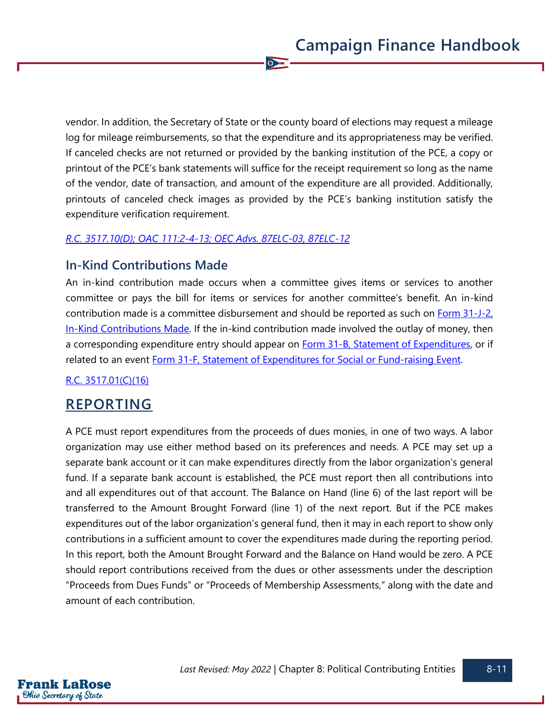vendor. In addition, the Secretary of State or the county board of elections may request a mileage log for mileage reimbursements, so that the expenditure and its appropriateness may be verified. If canceled checks are not returned or provided by the banking institution of the PCE, a copy or printout of the PCE's bank statements will suffice for the receipt requirement so long as the name of the vendor, date of transaction, and amount of the expenditure are all provided. Additionally, printouts of canceled check images as provided by the PCE's banking institution satisfy the expenditure verification requirement.

 $\bullet$ 

#### *[R.C. 3517.10\(D\);](https://codes.ohio.gov/ohio-revised-code/section-3517.10) [OAC 111:2-4-13](https://codes.ohio.gov/ohio-administrative-code/rule-111:2-4-13)[; OEC Advs. 87ELC-03,](https://elc.ohio.gov/wps/portal/gov/elc/opinions-decisions/advisory-opinions/by-year/87-3) [87ELC-12](https://elc.ohio.gov/wps/portal/gov/elc/opinions-decisions/advisory-opinions/by-year/87-12)*

### **In-Kind Contributions Made**

An in-kind contribution made occurs when a committee gives items or services to another committee or pays the bill for items or services for another committee's benefit. An in-kind contribution made is a committee disbursement and should be reported as such on [Form 31-J-2,](https://www.ohiosos.gov/globalassets/candidates/forms/31j2.pdf)  [In-Kind Contributions Made.](https://www.ohiosos.gov/globalassets/candidates/forms/31j2.pdf) If the in-kind contribution made involved the outlay of money, then a corresponding expenditure entry should appear on **Form 31-B, Statement of Expenditures**, or if related to an event [Form 31-F, Statement of Expenditures for Social or Fund-raising Event.](https://www.ohiosos.gov/globalassets/candidates/forms/31f.pdf)

[R.C. 3517.01\(C\)\(16\)](https://codes.ohio.gov/ohio-revised-code/section-3517.01)

# **REPORTING**

A PCE must report expenditures from the proceeds of dues monies, in one of two ways. A labor organization may use either method based on its preferences and needs. A PCE may set up a separate bank account or it can make expenditures directly from the labor organization's general fund. If a separate bank account is established, the PCE must report then all contributions into and all expenditures out of that account. The Balance on Hand (line 6) of the last report will be transferred to the Amount Brought Forward (line 1) of the next report. But if the PCE makes expenditures out of the labor organization's general fund, then it may in each report to show only contributions in a sufficient amount to cover the expenditures made during the reporting period. In this report, both the Amount Brought Forward and the Balance on Hand would be zero. A PCE should report contributions received from the dues or other assessments under the description "Proceeds from Dues Funds" or "Proceeds of Membership Assessments," along with the date and amount of each contribution.